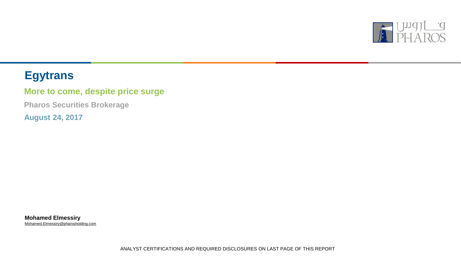

# **Egytrans**

## **More to come, despite price surge**

**Pharos Securities Brokerage**

**August 24, 2017**

**Mohamed Elmessiry** Mohamed.Elmessiry@pharosholding.com

ANALYST CERTIFICATIONS AND REQUIRED DISCLOSURES ON LAST PAGE OF THIS REPORT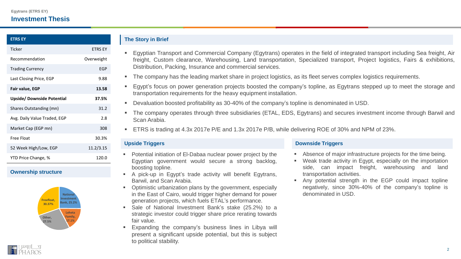### **Investment Thesis**

| <b>ETRS EY</b>               |                |
|------------------------------|----------------|
| Ticker                       | <b>ETRS EY</b> |
| Recommendation               | Overweight     |
| <b>Trading Currency</b>      | <b>EGP</b>     |
| Last Closing Price, EGP      | 9.88           |
| Fair value, EGP              | 13.58          |
| Upside/ Downside Potential   | 37.5%          |
| Shares Outstanding (mn)      | 31.2           |
| Avg. Daily Value Traded, EGP | 2.8            |
| Market Cap (EGP mn)          | 308            |
| Free Float                   | 30.3%          |
| 52 Week High/Low, EGP        | 11.2/3.15      |
| YTD Price Change, %          | 120.0          |

#### **Ownership structure**



#### **The Story in Brief**

- Egyptian Transport and Commercial Company (Egytrans) operates in the field of integrated transport including Sea freight, Air freight, Custom clearance, Warehousing, Land transportation, Specialized transport, Project logistics, Fairs & exhibitions, Distribution, Packing, Insurance and commercial services.
- The company has the leading market share in project logistics, as its fleet serves complex logistics requirements.
- Egypt's focus on power generation projects boosted the company's topline, as Egytrans stepped up to meet the storage and transportation requirements for the heavy equipment installation.
- Devaluation boosted profitability as 30-40% of the company's topline is denominated in USD.
- The company operates through three subsidiaries (ETAL, EDS, Egytrans) and secures investment income through Barwil and Scan Arabia.
- **ETRS** is trading at 4.3x 2017e P/E and 1.3x 2017e P/B, while delivering ROE of 30% and NPM of 23%.

- **Potential initiation of El-Dabaa nuclear power project by the** Egyptian government would secure a strong backlog, boosting topline.
- A pick-up in Egypt's trade activity will benefit Egytrans, Barwil, and Scan Arabia.
- Optimistic urbanization plans by the government, especially in the East of Cairo, would trigger higher demand for power generation projects, which fuels ETAL's performance.
- Sale of National Investment Bank's stake (25.2%) to a strategic investor could trigger share price rerating towards fair value.
- Expanding the company's business lines in Libya will present a significant upside potential, but this is subject to political stability.

#### **Upside Triggers Downside Triggers**

- Absence of major infrastructure projects for the time being.
- Weak trade activity in Egypt, especially on the importation side, can impact freight, warehousing and land transportation activities.
- Any potential strength in the EGP could impact topline negatively, since 30%-40% of the company's topline is denominated in USD.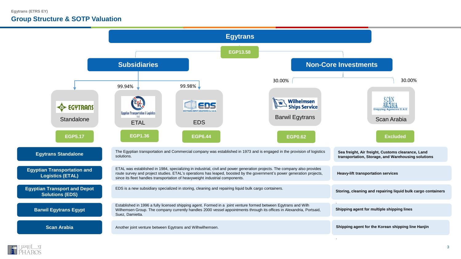### **Group Structure & SOTP Valuation**



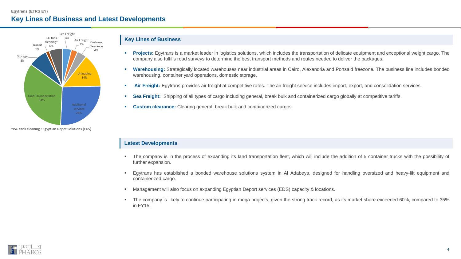#### **Egytrans (ETRS EY) Key Lines of Business and Latest Developments**



\*ISO tank cleaning : Egyptian Depot Solutions (EDS)

#### **Key Lines of Business**

- **Projects:** Egytrans is a market leader in logistics solutions, which includes the transportation of delicate equipment and exceptional weight cargo. The company also fulfills road surveys to determine the best transport methods and routes needed to deliver the packages.
- **Warehousing:** Strategically located warehouses near industrial areas in Cairo, Alexandria and Portsaid freezone. The business line includes bonded warehousing, container yard operations, domestic storage.
- **Air Freight:** Egytrans provides air freight at competitive rates. The air freight service includes import, export, and consolidation services.
- **Sea Freight:** Shipping of all types of cargo including general, break bulk and containerized cargo globally at competitive tariffs.
- **Custom clearance:** Clearing general, break bulk and containerized cargos.

#### **Latest Developments**

- The company is in the process of expanding its land transportation fleet, which will include the addition of 5 container trucks with the possibility of further expansion.
- Egytrans has established a bonded warehouse solutions system in Al Adabeya, designed for handling oversized and heavy-lift equipment and containerized cargo.
- Management will also focus on expanding Egyptian Deport services (EDS) capacity & locations.
- The company is likely to continue participating in mega projects, given the strong track record, as its market share exceeded 60%, compared to 35% in FY15.

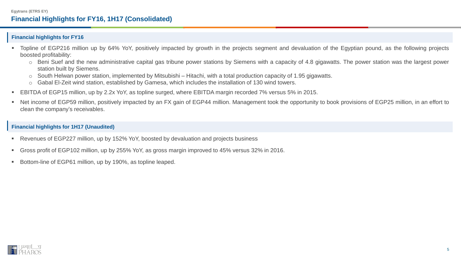#### **Financial highlights for FY16**

- Topline of EGP216 million up by 64% YoY, positively impacted by growth in the projects segment and devaluation of the Egyptian pound, as the following projects boosted profitability:
	- o Beni Suef and the new administrative capital gas tribune power stations by Siemens with a capacity of 4.8 gigawatts. The power station was the largest power station built by Siemens.
	- o South Helwan power station, implemented by Mitsubishi Hitachi, with a total production capacity of 1.95 gigawatts.
	- o Gabal El-Zeit wind station, established by Gamesa, which includes the installation of 130 wind towers.
- EBITDA of EGP15 million, up by 2.2x YoY, as topline surged, where EBITDA margin recorded 7% versus 5% in 2015.
- Net income of EGP59 million, positively impacted by an FX gain of EGP44 million. Management took the opportunity to book provisions of EGP25 million, in an effort to clean the company's receivables.

#### **Financial highlights for 1H17 (Unaudited)**

- Revenues of EGP227 million, up by 152% YoY, boosted by devaluation and projects business
- Gross profit of EGP102 million, up by 255% YoY, as gross margin improved to 45% versus 32% in 2016.
- Bottom-line of EGP61 million, up by 190%, as topline leaped.

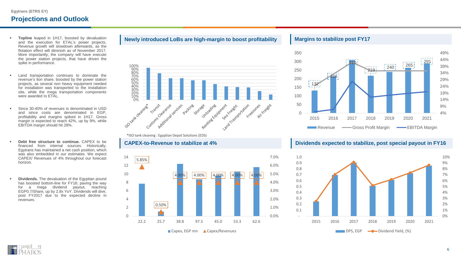## **Projections and Outlook**

- **Topline** leaped in 1H17, boosted by devaluation and the execution for ETAL's power projects. Revenue growth will slowdown afterwards, as the flotation effect will diminish as of November 2017. More importantly, the company will have execute the power station projects, that have driven the spike in performance.
- **EXECUTE:** Land transportation continues to dominate the revenue's lion share, boosted by the power station projects, as several non heavy equipment needed for installation was transported to the installation site, while the mega transportation components were awarded to ETAL.
- **Since 30-40% of revenues is denominated in USD** and since costs are denominated in EGP, profitability and margins spiked in 1H17. Gross margin is expected to reach 42%, up by 9%, while EBITDA margin should hit 28%.
- **Debt free structure to continue.** CAPEX to be financed from internal sources. Historically, Egytrans has maintained a net cash position, which was also embedded in our estimates. We expect CAPEX/ Revenues of 4% throughout our forecast horizon.
- **Dividends.** The devaluation of the Egyptian pound has boosted bottom-line for FY16; paving the way for a mega dividend payout, reaching EGP0.7/Share, up by 2.8x YoY. Dividends will dive, post FY2017 due to the expected decline in revenues.



#### \*ISO tank cleaning : Egyptian Depot Solutions (EDS)



#### **Margins to stabilize post FY17**



#### **CAPEX-to-Revenue to stabilize at 4% Dividends expected to stabilize, post special payout in FY16**



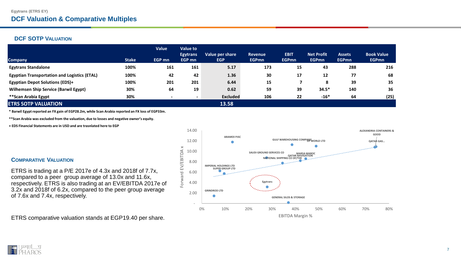#### **DCF SOTP VALUATION**

|                                                     |              | Value         | Value to                  |                               |                         |                             |                                   |                               |                                   |
|-----------------------------------------------------|--------------|---------------|---------------------------|-------------------------------|-------------------------|-----------------------------|-----------------------------------|-------------------------------|-----------------------------------|
| <b>Company</b>                                      | <b>Stake</b> | <b>EGP mn</b> | <b>Egytrans</b><br>EGP mn | Value per share<br><b>EGP</b> | Revenue<br><b>EGPmn</b> | <b>EBIT</b><br><b>EGPmn</b> | <b>Net Profit</b><br><b>EGPmn</b> | <b>Assets</b><br><b>EGPmn</b> | <b>Book Value</b><br><b>EGPmn</b> |
| <b>Egytrans Standalone</b>                          | 100%         | 161           | 161                       | 5.17                          | 173                     | 15                          | 43                                | 288                           | 216                               |
| <b>Egyptian Transportation and Logistics (ETAL)</b> | 100%         | 42            | 42                        | 1.36                          | 30                      | 17                          | 12                                | 77                            | 68                                |
| <b>Egyptian Depot Solutions (EDS)+</b>              | 100%         | 201           | 201                       | 6.44                          | 15                      |                             | 8                                 | 39                            | 35                                |
| <b>Wilhemsen Ship Service (Barwil Egypt)</b>        | 30%          | 64            | 19                        | 0.62                          | 59                      | 39                          | $34.5*$                           | 140                           | 36                                |
| **Scan Arabia Egypt                                 | 30%          |               | $\overline{\phantom{a}}$  | <b>Excluded</b>               | 106                     | 22                          | $-16*$                            | 64                            | (25)                              |
| <b>ETRS SOTP VALUATION</b>                          |              |               |                           | 13.58                         |                         |                             |                                   |                               |                                   |

**\* Barwil Egypt reported an FX gain of EGP28.2m, while Scan Arabia reported an FX loss of EGP33m.** 

**\*\*Scan Arabia was excluded from the valuation, due to losses and negative owner's equity.** 

**+ EDS Financial Statements are in USD and are trasnlated here to EGP** 

#### **COMPARATIVE VALUATION**

ETRS is trading at a P/E 2017e of 4.3x and 2018f of 7.7x, compared to a peer group average of 13.0x and 11.6x, respectively. ETRS is also trading at an EV/EBITDA 2017e of 3.2x and 2018f of 6.2x, compared to the peer group average of 7.6x and 7.4x, respectively.

ETRS comparative valuation stands at EGP19.40 per share.



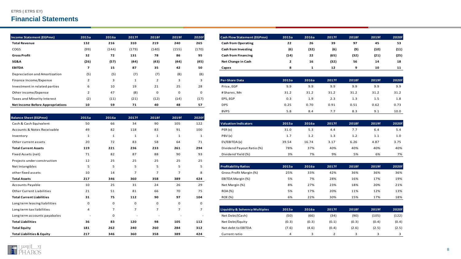#### **ETRS ( ETRS EY)**

## **Financial Statements**

| Income Statement (EGPmn)                | 2015a        | 2016a | 2017f | 2018f | 2019f | 2020f | <b>Cash Flow Statement (EGPmn)</b> | 2015a | 2016a | 2017f |       | 2018f |
|-----------------------------------------|--------------|-------|-------|-------|-------|-------|------------------------------------|-------|-------|-------|-------|-------|
| <b>Total Revenue</b>                    | 132          | 216   | 310   | 219   | 240   | 265   | <b>Cash from Operating</b>         | 22    | 26    | 39    |       | 97    |
| COGS                                    | (99)         | (144) | (179) | (140) | (155) | (170) | <b>Cash from Investing</b>         | (6)   | (32)  | (6)   | (9)   |       |
| <b>Gross Profit</b>                     | 32           | 72    | 131   | 78    | 86    | 95    | <b>Cash from Financing</b>         | (14)  | 22    | (65)  | (32)  |       |
| SG&A                                    | (26)         | (57)  | (44)  | (43)  | (44)  | (45)  | Net Change in Cash                 |       | 16    | (32)  | 56    |       |
| <b>EBITDA</b>                           |              | 15    | 87    | 35    | 42    | 50    | Capex                              | 8     |       | 12    | 9     |       |
| Depreciation and Amortization           | (5)          | (5)   | (7)   | (7)   | (8)   | (8)   |                                    |       |       |       |       |       |
| Finance Income/Expense                  |              |       |       |       | 3     | 3     | <b>Per-Share Data</b>              | 2015a | 2016a | 2017f | 2018f |       |
| Investment in related parties           | <sub>b</sub> | 10    | 19    | 21    | 25    | 28    | Price, EGP                         | 9.9   | 9.9   | 9.9   | 9.9   |       |
| Other income/Expense                    |              | 47    | (8)   | 0     | 0     | 0     | #Shares, Mn                        | 31.2  | 31.2  | 31.2  | 31.2  |       |
| Taxes and Minority Interest             | (2)          | (11)  | (21)  | (12)  | (14)  | (17)  | EPS, EGP                           | 0.3   | 1.9   | 2.3   | 1.3   |       |
| <b>Net Income Before Appropriations</b> | 10           | 59    | 71    | 40    | 48    | 57    | <b>DPS</b>                         | 0.25  | 0.70  | 0.91  | 0.51  |       |

| <b>Balance Sheet (EGPmn)</b>          | 2015a        | 2016a          | 2017f          | 2018f          | 2019f          | 2020f                    |                                           |                |       |       |       |                         |       |
|---------------------------------------|--------------|----------------|----------------|----------------|----------------|--------------------------|-------------------------------------------|----------------|-------|-------|-------|-------------------------|-------|
| Cash & Cash Equivalent                | 50           | 66             | 34             | 90             | 105            | 122                      | <b>Valuation Indicators</b>               | 2015a          | 2016a | 2017f | 2018f | 2019f                   | 2020f |
| Accounts & Notes Receivable           | 49           | 82             | 118            | 83             | 91             | 100                      | PER(x)                                    | 31.0           | 5.3   | 4.4   | 7.7   | 6.4                     |       |
| Inventory                             | $\mathbf{1}$ | $\mathbf{1}$   | $\mathbf{1}$   |                | 1              |                          | PBV(x)                                    | 1.7            | 1.2   | 1.3   | 1.2   | 1.1                     |       |
| Other current assets                  | 20           | 72             | 83             | 58             | 64             | 71                       | EV/EBITDA(x)                              | 39.54          | 16.74 | 3.17  | 6.26  | 4.87                    | 3.75  |
| <b>Total Current Assets</b>           | 119          | 221            | 236            | 233            | 261            | 294                      | Dividend Payout Ratio (%)                 | 78%            | 37%   | 40%   | 40%   | 40%                     |       |
| Fixed Assets (net)                    | 71           | 82             | 87             | 88             | 90             | 93                       | Dividend Yield (%)                        | 3%             | 7%    | 9%    | 5%    | 6%                      |       |
| Projects under construction           | 12           | 25             | 25             | 25             | 25             | 25                       |                                           |                |       |       |       |                         |       |
| Net Intangibles                       | 5            | 5              | 5              | 5              | 5              | 5                        | <b>Profitability Ratios</b>               | 2015a          | 2016a | 2017f | 2018f | 2019f                   | 2020f |
| other fixed assets                    | 10           | 14             | $\overline{7}$ | $\overline{7}$ | $\overline{7}$ | 8                        | Gross Profit Margin (%)                   | 25%            | 33%   | 42%   | 36%   | 36%                     |       |
| <b>Total Assets</b>                   | 217          | 346            | 360            | 358            | 389            | 424                      | EBITDA Margin (%)                         | 5%             | 7%    | 28%   | 16%   | 17%                     |       |
| Accounts Payable                      | 10           | 25             | 31             | 24             | 26             | 29                       | Net Margin (%)                            | 8%             | 27%   | 23%   | 18%   | 20%                     |       |
| <b>Other Current Liabilities</b>      | 21           | 51             | 81             | 66             | 70             | 75                       | <b>ROA (%)</b>                            | 5%             | 17%   | 20%   | 11%   | 12%                     |       |
| <b>Total Current Liabilities</b>      | 31           | 75             | 112            | 90             | 97             | 104                      | ROE (%)                                   | 6%             | 22%   | 30%   | 15%   | 17%                     |       |
| Long term leasing liabilities         | 0            | $\mathbf 0$    | $\mathbf 0$    | 0              | $\mathbf 0$    | 0                        |                                           |                |       |       |       |                         |       |
| Long term tax liabilities             | 4            | $\overline{7}$ | $\overline{7}$ | $\overline{7}$ | $\overline{7}$ | $\overline{7}$           | <b>Liquidity &amp; Solvency Multiples</b> | 2015a          | 2016a | 2017f | 2018f | 2019f                   | 2020f |
| Long term accounts payabales          |              | 0              |                |                |                | $\overline{\phantom{a}}$ | Net Debt/(Cash)                           | (50)           | (66)  | (34)  | (90)  | (105)                   |       |
| <b>Total Liabilities</b>              | 36           | 83             | 120            | 98             | 105            | 112                      | Net Debt/Equity                           | (0.3)          | (0.3) | (0.1) | (0.3) | (0.4)                   |       |
| <b>Total Equity</b>                   | 181          | 262            | 240            | 260            | 284            | 312                      | Net debt to EBITDA                        | (7.6)          | (4.6) | (0.4) | (2.6) | (2.5)                   |       |
| <b>Total Liabilities &amp; Equity</b> | 217          | 346            | 360            | 358            | 389            | 424                      | Current ratio                             | $\overline{a}$ | 3     |       | 3     | $\overline{\mathbf{3}}$ |       |

| EIRS (EIRS EY)                          |                |                |                          |                |                          |                |                                           |                |       |                |       |       |       |
|-----------------------------------------|----------------|----------------|--------------------------|----------------|--------------------------|----------------|-------------------------------------------|----------------|-------|----------------|-------|-------|-------|
| <b>Financial Statements</b>             |                |                |                          |                |                          |                |                                           |                |       |                |       |       |       |
|                                         |                |                |                          |                |                          |                |                                           |                |       |                |       |       |       |
| ncome Statement (EGPmn)                 | 2015a          | 2016a          | 2017f                    | 2018f          | 2019f                    | 2020f          | <b>Cash Flow Statement (EGPmn)</b>        | 2015a          | 2016a | 2017f          | 2018f | 2019f | 2020f |
| <b>Total Revenue</b>                    | 132            | 216            | 310                      | 219            | 240                      | 265            | <b>Cash from Operating</b>                | 22             | 26    | 39             | 97    | 45    | 53    |
| COGS                                    | (99)           | (144)          | (179)                    | (140)          | (155)                    | (170)          | <b>Cash from Investing</b>                | (6)            | (32)  | (6)            | (9)   | (10)  | (11)  |
| Gross Profit                            | 32             | 72             | 131                      | 78             | 86                       | 95             | <b>Cash from Financing</b>                | (14)           | 22    | (65)           | (32)  | (21)  | (25)  |
| SG&A                                    | (26)           | (57)           | (44)                     | (43)           | (44)                     | (45)           | Net Change in Cash                        | $\mathbf{2}$   | 16    | (32)           | 56    | 14    | 18    |
| <b>EBITDA</b>                           | 7              | 15             | 87                       | 35             | 42                       | 50             | Capex                                     | 8              | 1     | 12             | 9     | 10    | 11    |
| Depreciation and Amortization           | (5)            | (5)            | (7)                      | (7)            | (8)                      | (8)            |                                           |                |       |                |       |       |       |
| Finance Income/Expense                  |                | 3              | 1                        | $\overline{2}$ | 3                        | 3              | Per-Share Data                            | 2015a          | 2016a | 2017f          | 2018f | 2019f | 2020f |
| Investment in related parties           | 6              | 10             | 19                       | 21             | 25                       | 28             | Price, EGP                                | 9.9            | 9.9   | 9.9            | 9.9   | 9.9   | 9.9   |
| Other income/Expense                    | $\overline{2}$ | 47             | (8)                      | $\mathbf 0$    | $\Omega$                 | 0              | #Shares, Mn                               | 31.2           | 31.2  | 31.2           | 31.2  | 31.2  | 31.2  |
| Taxes and Minority Interest             | (2)            | (11)           | (21)                     | (12)           | (14)                     | (17)           | EPS, EGP                                  | 0.3            | 1.9   | 2.3            | 1.3   | 1.5   | 1.8   |
| <b>Net Income Before Appropriations</b> | 10             | 59             | 71                       | 40             | 48                       | 57             | <b>DPS</b>                                | 0.25           | 0.70  | 0.91           | 0.51  | 0.62  | 0.73  |
|                                         |                |                |                          |                |                          |                | <b>BVPS</b>                               | 5.8            | 8.4   | 7.7            | 8.3   | 9.1   | 10.0  |
| <b>Balance Sheet (EGPmn)</b>            | 2015a          | 2016a          | 2017f                    | 2018f          | 2019f                    | 2020f          |                                           |                |       |                |       |       |       |
| Cash & Cash Equivalent                  | 50             | 66             | 34                       | 90             | 105                      | 122            | <b>Valuation Indicators</b>               | 2015a          | 2016a | 2017f          | 2018f | 2019f | 2020f |
| Accounts & Notes Receivable             | 49             | 82             | 118                      | 83             | 91                       | 100            | PER(x)                                    | 31.0           | 5.3   | 4.4            | 7.7   | 6.4   | 5.4   |
| Inventory                               | 1              | 1              | 1                        | $\mathbf{1}$   | 1                        | 1              | PBV(x)                                    | 1.7            | 1.2   | 1.3            | 1.2   | 1.1   | 1.0   |
| Other current assets                    | 20             | 72             | 83                       | 58             | 64                       | 71             | EV/EBITDA(x)                              | 39.54          | 16.74 | 3.17           | 6.26  | 4.87  | 3.75  |
| <b>Total Current Assets</b>             | 119            | 221            | 236                      | 233            | 261                      | 294            | Dividend Payout Ratio (%)                 | 78%            | 37%   | 40%            | 40%   | 40%   | 40%   |
| Fixed Assets (net)                      | 71             | 82             | 87                       | 88             | 90                       | 93             | Dividend Yield (%)                        | 3%             | 7%    | 9%             | 5%    | 6%    | 7%    |
| Projects under construction             | 12             | 25             | 25                       | 25             | 25                       | 25             |                                           |                |       |                |       |       |       |
| Net Intangibles                         | 5              | 5              | 5                        | 5              | 5                        | 5              | <b>Profitability Ratios</b>               | 2015a          | 2016a | 2017f          | 2018f | 2019f | 2020f |
| other fixed assets                      | 10             | 14             | $\overline{7}$           | $\overline{7}$ | $\overline{7}$           | 8              | Gross Profit Margin (%)                   | 25%            | 33%   | 42%            | 36%   | 36%   | 36%   |
| Total Assets                            | 217            | 346            | 360                      | 358            | 389                      | 424            | EBITDA Margin (%)                         | 5%             | 7%    | 28%            | 16%   | 17%   | 19%   |
| Accounts Payable                        | 10             | 25             | 31                       | 24             | 26                       | 29             | Net Margin (%)                            | 8%             | 27%   | 23%            | 18%   | 20%   | 21%   |
| <b>Other Current Liabilities</b>        | 21             | 51             | 81                       | 66             | 70                       | 75             | <b>ROA</b> (%)                            | 5%             | 17%   | 20%            | 11%   | 12%   | 13%   |
| <b>Total Current Liabilities</b>        | 31             | 75             | 112                      | 90             | 97                       | 104            | <b>ROE (%)</b>                            | 6%             | 22%   | 30%            | 15%   | 17%   | 18%   |
| Long term leasing liabilities           | $\Omega$       | $\mathbf 0$    | 0                        | 0              | $\Omega$                 | $\mathbf 0$    |                                           |                |       |                |       |       |       |
| Long term tax liabilities               | $\overline{a}$ | $\overline{7}$ | $\overline{7}$           | $\overline{7}$ | $\overline{7}$           | $\overline{7}$ | <b>Liquidity &amp; Solvency Multiples</b> | 2015a          | 2016a | 2017f          | 2018f | 2019f | 2020f |
| Long term accounts payabales            |                | 0              | $\overline{\phantom{a}}$ | <b>.</b>       | $\overline{\phantom{a}}$ | $\sim$         | Net Debt/(Cash)                           | (50)           | (66)  | (34)           | (90)  | (105) | (122) |
| <b>Total Liabilities</b>                | 36             | 83             | 120                      | 98             | 105                      | 112            | Net Debt/Equity                           | (0.3)          | (0.3) | (0.1)          | (0.3) | (0.4) | (0.4) |
| <b>Total Equity</b>                     | 181            | 262            | 240                      | 260            | 284                      | 312            | Net debt to EBITDA                        | (7.6)          | (4.6) | (0.4)          | (2.6) | (2.5) | (2.5) |
| <b>Total Liabilities &amp; Equity</b>   | 217            | 346            | 360                      | 358            | 389                      | 424            | Current ratio                             | $\overline{4}$ | 3     | $\overline{2}$ | 3     | 3     | 3     |